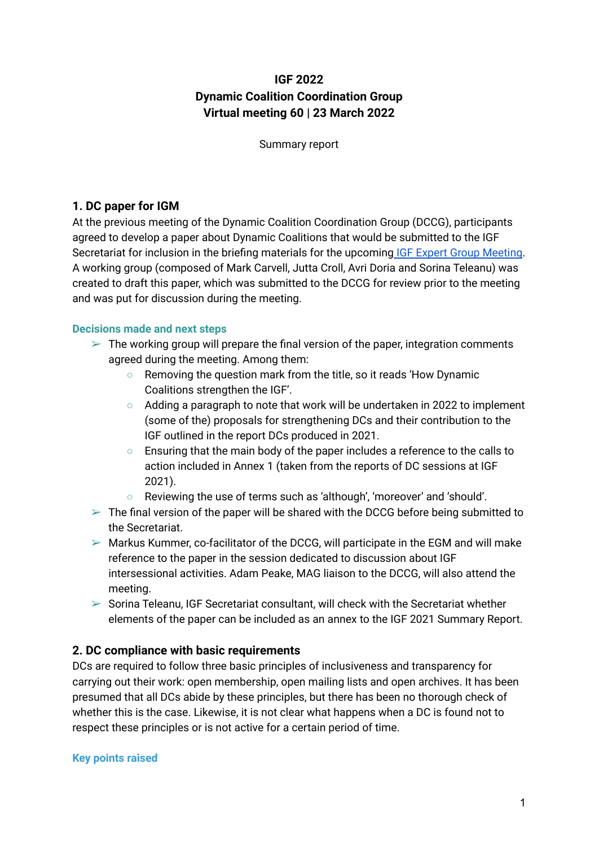# **IGF 2022 Dynamic Coalition Coordination Group Virtual meeting 60 | 23 March 2022**

Summary report

## **1. DC paper for IGM**

At the previous meeting of the Dynamic Coalition Coordination Group (DCCG), participants agreed to develop a paper about Dynamic Coalitions that would be submitted to the IGF Secretariat for inclusion in the briefing materials for the upcoming IGF Expert Group [Meeting.](https://www.intgovforum.org/en/content/igf-expert-group-meeting-egm) A working group (composed of Mark Carvell, Jutta Croll, Avri Doria and Sorina Teleanu) was created to draft this paper, which was submitted to the DCCG for review prior to the meeting and was put for discussion during the meeting.

#### **Decisions made and next steps**

- $\triangleright$  The working group will prepare the final version of the paper, integration comments agreed during the meeting. Among them:
	- Removing the question mark from the title, so it reads 'How Dynamic Coalitions strengthen the IGF'.
	- Adding a paragraph to note that work will be undertaken in 2022 to implement (some of the) proposals for strengthening DCs and their contribution to the IGF outlined in the report DCs produced in 2021.
	- Ensuring that the main body of the paper includes a reference to the calls to action included in Annex 1 (taken from the reports of DC sessions at IGF 2021).
	- Reviewing the use of terms such as 'although', 'moreover' and 'should'.
- $\geq$  The final version of the paper will be shared with the DCCG before being submitted to the Secretariat.
- $\triangleright$  Markus Kummer, co-facilitator of the DCCG, will participate in the EGM and will make reference to the paper in the session dedicated to discussion about IGF intersessional activities. Adam Peake, MAG liaison to the DCCG, will also attend the meeting.
- $\triangleright$  Sorina Teleanu, IGF Secretariat consultant, will check with the Secretariat whether elements of the paper can be included as an annex to the IGF 2021 Summary Report.

## **2. DC compliance with basic requirements**

DCs are required to follow three basic principles of inclusiveness and transparency for carrying out their work: open membership, open mailing lists and open archives. It has been presumed that all DCs abide by these principles, but there has been no thorough check of whether this is the case. Likewise, it is not clear what happens when a DC is found not to respect these principles or is not active for a certain period of time.

#### **Key points raised**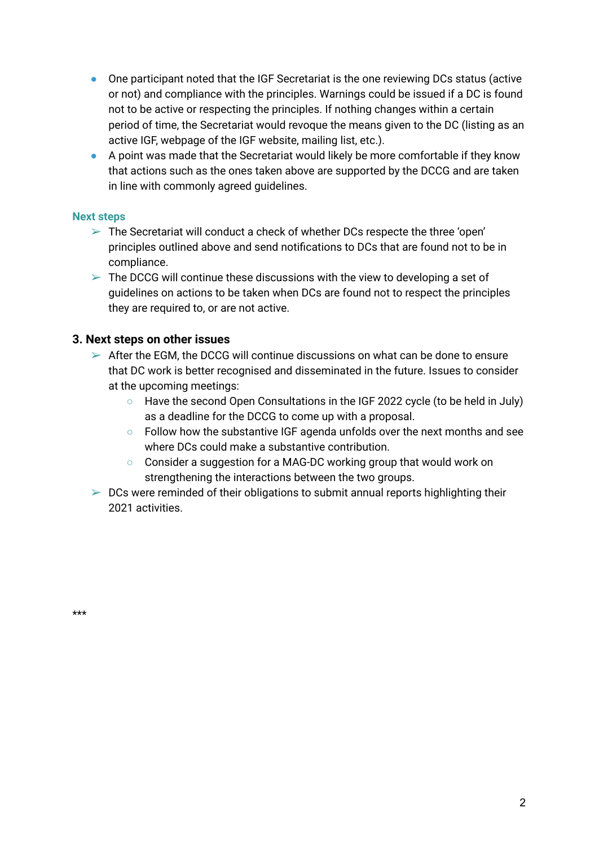- One participant noted that the IGF Secretariat is the one reviewing DCs status (active or not) and compliance with the principles. Warnings could be issued if a DC is found not to be active or respecting the principles. If nothing changes within a certain period of time, the Secretariat would revoque the means given to the DC (listing as an active IGF, webpage of the IGF website, mailing list, etc.).
- A point was made that the Secretariat would likely be more comfortable if they know that actions such as the ones taken above are supported by the DCCG and are taken in line with commonly agreed guidelines.

## **Next steps**

- $\triangleright$  The Secretariat will conduct a check of whether DCs respecte the three 'open' principles outlined above and send notifications to DCs that are found not to be in compliance.
- $\geq$  The DCCG will continue these discussions with the view to developing a set of guidelines on actions to be taken when DCs are found not to respect the principles they are required to, or are not active.

## **3. Next steps on other issues**

- $\geq$  After the EGM, the DCCG will continue discussions on what can be done to ensure that DC work is better recognised and disseminated in the future. Issues to consider at the upcoming meetings:
	- Have the second Open Consultations in the IGF 2022 cycle (to be held in July) as a deadline for the DCCG to come up with a proposal.
	- Follow how the substantive IGF agenda unfolds over the next months and see where DCs could make a substantive contribution.
	- Consider a suggestion for a MAG-DC working group that would work on strengthening the interactions between the two groups.
- $\triangleright$  DCs were reminded of their obligations to submit annual reports highlighting their 2021 activities.